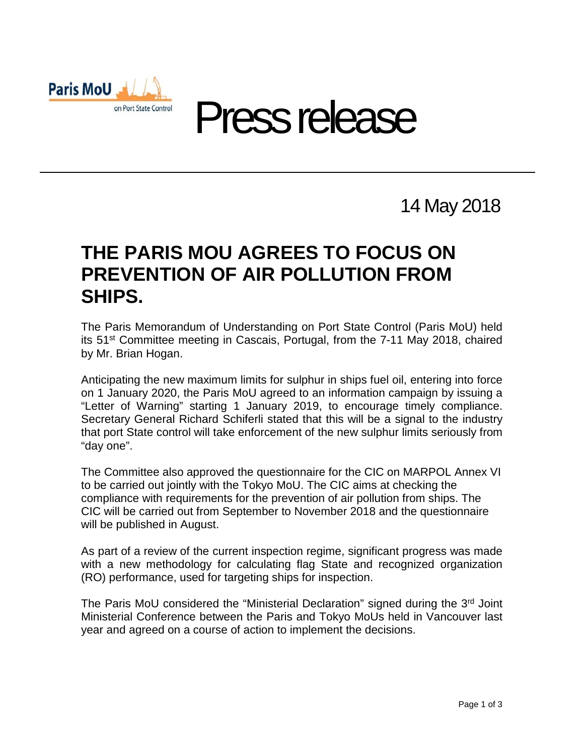



## 14 May 2018

## **THE PARIS MOU AGREES TO FOCUS ON PREVENTION OF AIR POLLUTION FROM SHIPS.**

The Paris Memorandum of Understanding on Port State Control (Paris MoU) held its 51st Committee meeting in Cascais, Portugal, from the 7-11 May 2018, chaired by Mr. Brian Hogan.

Anticipating the new maximum limits for sulphur in ships fuel oil, entering into force on 1 January 2020, the Paris MoU agreed to an information campaign by issuing a "Letter of Warning" starting 1 January 2019, to encourage timely compliance. Secretary General Richard Schiferli stated that this will be a signal to the industry that port State control will take enforcement of the new sulphur limits seriously from "day one".

The Committee also approved the questionnaire for the CIC on MARPOL Annex VI to be carried out jointly with the Tokyo MoU. The CIC aims at checking the compliance with requirements for the prevention of air pollution from ships. The CIC will be carried out from September to November 2018 and the questionnaire will be published in August.

As part of a review of the current inspection regime, significant progress was made with a new methodology for calculating flag State and recognized organization (RO) performance, used for targeting ships for inspection.

The Paris MoU considered the "Ministerial Declaration" signed during the 3<sup>rd</sup> Joint Ministerial Conference between the Paris and Tokyo MoUs held in Vancouver last year and agreed on a course of action to implement the decisions.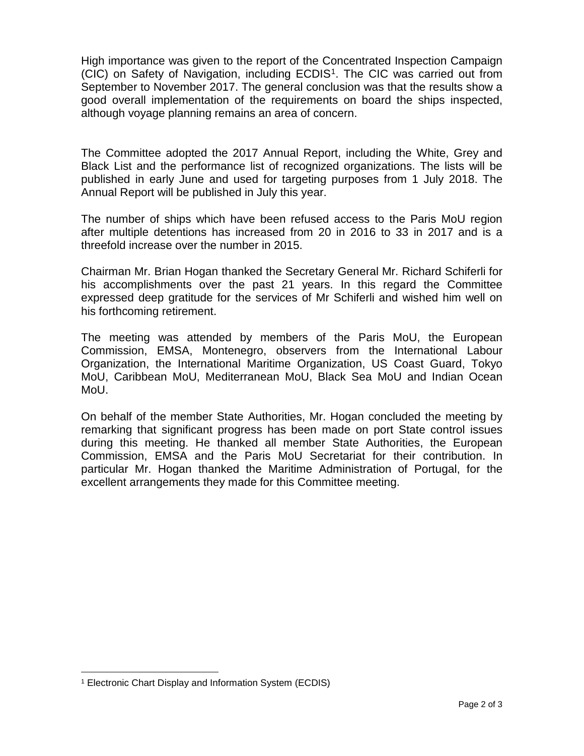High importance was given to the report of the Concentrated Inspection Campaign (CIC) on Safety of Navigation, including ECDIS[1.](#page-1-0) The CIC was carried out from September to November 2017. The general conclusion was that the results show a good overall implementation of the requirements on board the ships inspected, although voyage planning remains an area of concern.

The Committee adopted the 2017 Annual Report, including the White, Grey and Black List and the performance list of recognized organizations. The lists will be published in early June and used for targeting purposes from 1 July 2018. The Annual Report will be published in July this year.

The number of ships which have been refused access to the Paris MoU region after multiple detentions has increased from 20 in 2016 to 33 in 2017 and is a threefold increase over the number in 2015.

Chairman Mr. Brian Hogan thanked the Secretary General Mr. Richard Schiferli for his accomplishments over the past 21 years. In this regard the Committee expressed deep gratitude for the services of Mr Schiferli and wished him well on his forthcoming retirement.

The meeting was attended by members of the Paris MoU, the European Commission, EMSA, Montenegro, observers from the International Labour Organization, the International Maritime Organization, US Coast Guard, Tokyo MoU, Caribbean MoU, Mediterranean MoU, Black Sea MoU and Indian Ocean MoU.

On behalf of the member State Authorities, Mr. Hogan concluded the meeting by remarking that significant progress has been made on port State control issues during this meeting. He thanked all member State Authorities, the European Commission, EMSA and the Paris MoU Secretariat for their contribution. In particular Mr. Hogan thanked the Maritime Administration of Portugal, for the excellent arrangements they made for this Committee meeting.

-

<span id="page-1-0"></span><sup>1</sup> Electronic Chart Display and Information System (ECDIS)